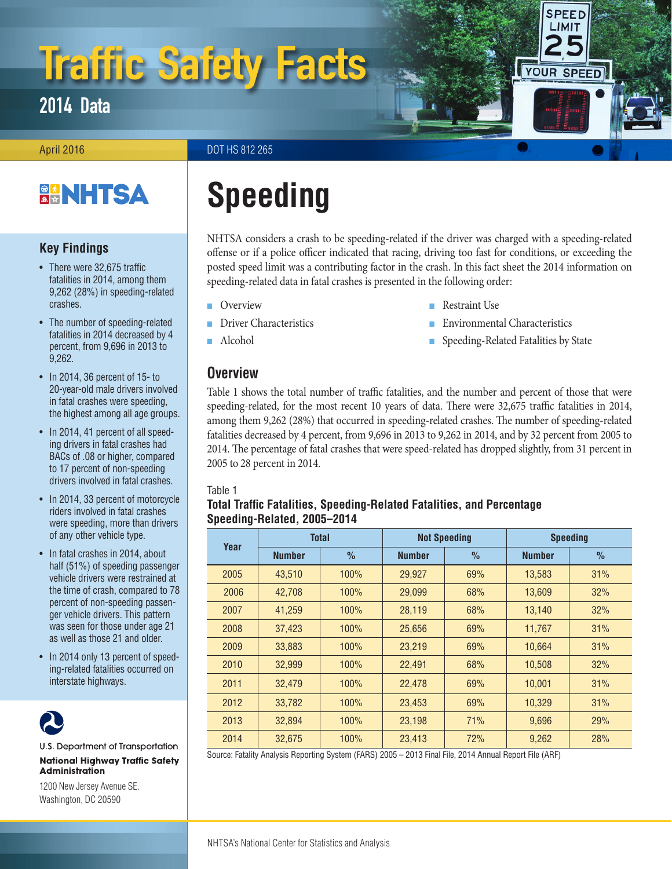# Traffic Safety Facts

2014 Data

April 2016 **DOT HS 812 265** 

## **BANHTSA**

## **Key Findings**

- There were 32,675 traffic fatalities in 2014, among them 9,262 (28%) in speeding-related crashes.
- The number of speeding-related fatalities in 2014 decreased by 4 percent, from 9,696 in 2013 to 9,262.
- In 2014, 36 percent of 15- to 20-year-old male drivers involved in fatal crashes were speeding, the highest among all age groups.
- In 2014, 41 percent of all speeding drivers in fatal crashes had BACs of .08 or higher, compared to 17 percent of non-speeding drivers involved in fatal crashes.
- In 2014, 33 percent of motorcycle riders involved in fatal crashes were speeding, more than drivers of any other vehicle type.
- In fatal crashes in 2014, about half (51%) of speeding passenger vehicle drivers were restrained at the time of crash, compared to 78 percent of non-speeding passenger vehicle drivers. This pattern was seen for those under age 21 as well as those 21 and older.
- In 2014 only 13 percent of speeding-related fatalities occurred on interstate highways.



U.S. Department of Transportation **National Highway Traffic Safety Administration** 

1200 New Jersey Avenue SE. Washington, DC 20590

## **Speeding**

NHTSA considers a crash to be speeding-related if the driver was charged with a speeding-related offense or if a police officer indicated that racing, driving too fast for conditions, or exceeding the posted speed limit was a contributing factor in the crash. In this fact sheet the 2014 information on speeding-related data in fatal crashes is presented in the following order:

■ Restraint Use

**Environmental Characteristics** ■ Speeding-Related Fatalities by State

**SPEED LIMIT** 

YOUR SPEED

- **Overview**
- Driver Characteristics
- Alcohol

## **Overview**

Table 1 shows the total number of traffic fatalities, and the number and percent of those that were speeding-related, for the most recent 10 years of data. There were 32,675 traffic fatalities in 2014, among them 9,262 (28%) that occurred in speeding-related crashes. The number of speeding-related fatalities decreased by 4 percent, from 9,696 in 2013 to 9,262 in 2014, and by 32 percent from 2005 to 2014. The percentage of fatal crashes that were speed-related has dropped slightly, from 31 percent in 2005 to 28 percent in 2014.

#### Table 1

## **Total Traffic Fatalities, Speeding-Related Fatalities, and Percentage Speeding-Related, 2005–2014**

| Year | <b>Total</b>  |               | <b>Not Speeding</b> |               | <b>Speeding</b> |               |  |  |
|------|---------------|---------------|---------------------|---------------|-----------------|---------------|--|--|
|      | <b>Number</b> | $\frac{0}{0}$ | <b>Number</b>       | $\frac{0}{0}$ | <b>Number</b>   | $\frac{0}{0}$ |  |  |
| 2005 | 43,510        | 100%          | 29,927              | 69%           | 13,583          | 31%           |  |  |
| 2006 | 42,708        | 100%          | 29,099              | 68%           | 13,609          | 32%           |  |  |
| 2007 | 41,259        | 100%          | 28,119              | 68%           | 13,140          | 32%           |  |  |
| 2008 | 37,423        | 100%          | 25,656              | 69%           | 11,767          | 31%           |  |  |
| 2009 | 33,883        | 100%          | 23,219              | 69%           | 10,664          | 31%           |  |  |
| 2010 | 32,999        | 100%          | 22,491              | 68%           | 10,508          | 32%           |  |  |
| 2011 | 32.479        | 100%          | 22,478              | 69%           | 10,001          | 31%           |  |  |
| 2012 | 33.782        | 100%          | 23.453              | 69%           | 10.329          | 31%           |  |  |
| 2013 | 32.894        | 100%          | 23.198              | 71%           | 9,696           | 29%           |  |  |
| 2014 | 32.675        | 100%          | 23.413              | 72%           | 9.262           | 28%           |  |  |

Source: Fatality Analysis Reporting System (FARS) 2005 – 2013 Final File, 2014 Annual Report File (ARF)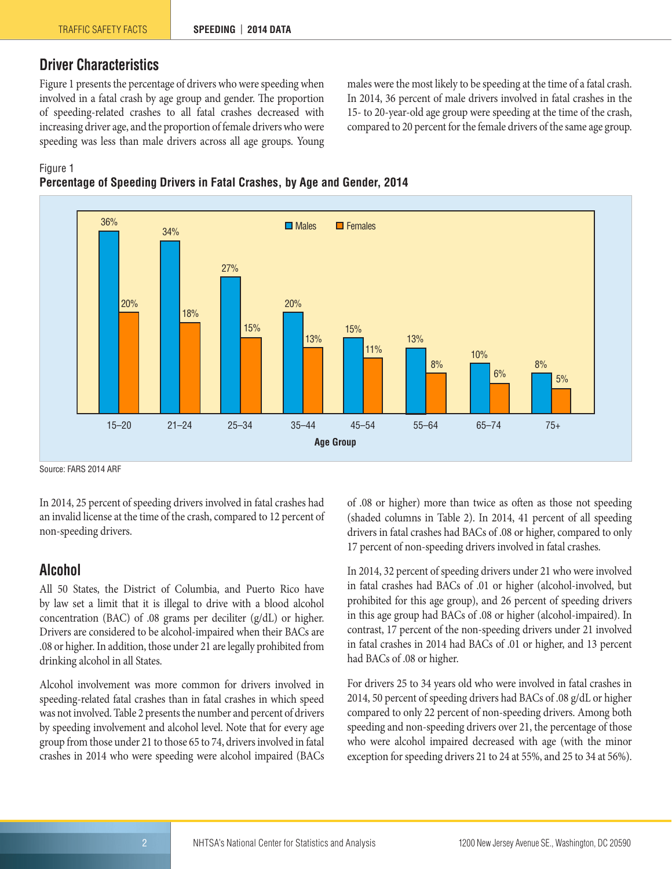## **Driver Characteristics**

Figure 1 presents the percentage of drivers who were speeding when involved in a fatal crash by age group and gender. The proportion of speeding-related crashes to all fatal crashes decreased with increasing driver age, and the proportion of female drivers who were speeding was less than male drivers across all age groups. Young males were the most likely to be speeding at the time of a fatal crash. In 2014, 36 percent of male drivers involved in fatal crashes in the 15- to 20-year-old age group were speeding at the time of the crash, compared to 20 percent for the female drivers of the same age group.

#### Figure 1





Source: FARS 2014 ARF

In 2014, 25 percent of speeding drivers involved in fatal crashes had an invalid license at the time of the crash, compared to 12 percent of non-speeding drivers.

### **Alcohol**

All 50 States, the District of Columbia, and Puerto Rico have by law set a limit that it is illegal to drive with a blood alcohol concentration (BAC) of .08 grams per deciliter (g/dL) or higher. Drivers are considered to be alcohol-impaired when their BACs are .08 or higher. In addition, those under 21 are legally prohibited from drinking alcohol in all States.

Alcohol involvement was more common for drivers involved in speeding-related fatal crashes than in fatal crashes in which speed was not involved. Table 2 presents the number and percent of drivers by speeding involvement and alcohol level. Note that for every age group from those under 21 to those 65 to 74, drivers involved in fatal crashes in 2014 who were speeding were alcohol impaired (BACs of .08 or higher) more than twice as often as those not speeding (shaded columns in Table 2). In 2014, 41 percent of all speeding drivers in fatal crashes had BACs of .08 or higher, compared to only 17 percent of non-speeding drivers involved in fatal crashes.

In 2014, 32 percent of speeding drivers under 21 who were involved in fatal crashes had BACs of .01 or higher (alcohol-involved, but prohibited for this age group), and 26 percent of speeding drivers in this age group had BACs of .08 or higher (alcohol-impaired). In contrast, 17 percent of the non-speeding drivers under 21 involved in fatal crashes in 2014 had BACs of .01 or higher, and 13 percent had BACs of .08 or higher.

For drivers 25 to 34 years old who were involved in fatal crashes in 2014, 50 percent of speeding drivers had BACs of .08 g/dL or higher compared to only 22 percent of non-speeding drivers. Among both speeding and non-speeding drivers over 21, the percentage of those who were alcohol impaired decreased with age (with the minor exception for speeding drivers 21 to 24 at 55%, and 25 to 34 at 56%).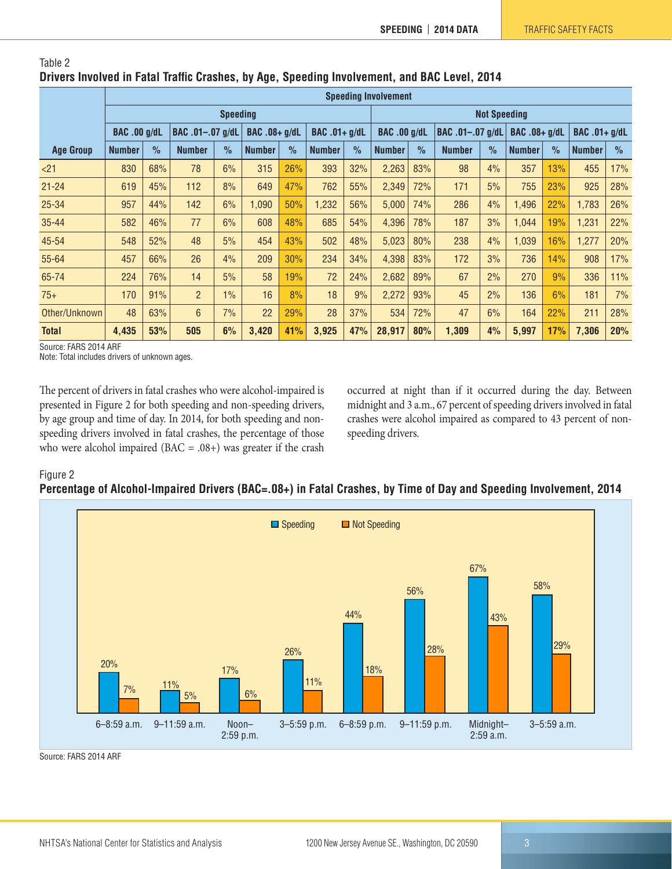|                  | <b>Speeding Involvement</b> |               |                  |               |                      |               |                      |                     |                     |      |                  |      |               |      |                      |               |
|------------------|-----------------------------|---------------|------------------|---------------|----------------------|---------------|----------------------|---------------------|---------------------|------|------------------|------|---------------|------|----------------------|---------------|
|                  | <b>Speeding</b>             |               |                  |               |                      |               |                      | <b>Not Speeding</b> |                     |      |                  |      |               |      |                      |               |
|                  | <b>BAC .00 g/dL</b>         |               | BAC .01-.07 g/dL |               | <b>BAC .08+ g/dL</b> |               | <b>BAC</b> .01+ g/dL |                     | <b>BAC .00 g/dL</b> |      | BAC .01-.07 g/dL |      | BAC .08+ g/dL |      | <b>BAC .01+ g/dL</b> |               |
| <b>Age Group</b> | <b>Number</b>               | $\frac{0}{2}$ | <b>Number</b>    | $\frac{1}{2}$ | <b>Number</b>        | $\frac{0}{0}$ | <b>Number</b>        | $\frac{1}{2}$       | <b>Number</b>       | $\%$ | <b>Number</b>    | $\%$ | <b>Number</b> | $\%$ | <b>Number</b>        | $\frac{0}{0}$ |
| $21$             | 830                         | 68%           | 78               | 6%            | 315                  | 26%           | 393                  | 32%                 | 2,263               | 83%  | 98               | 4%   | 357           | 13%  | 455                  | 17%           |
| $21 - 24$        | 619                         | 45%           | 112              | 8%            | 649                  | 47%           | 762                  | 55%                 | 2,349               | 72%  | 171              | 5%   | 755           | 23%  | 925                  | 28%           |
| $25 - 34$        | 957                         | 44%           | 142              | 6%            | 1,090                | 50%           | 1,232                | 56%                 | 5,000               | 74%  | 286              | 4%   | 1,496         | 22%  | 1,783                | 26%           |
| $35 - 44$        | 582                         | 46%           | 77               | 6%            | 608                  | 48%           | 685                  | 54%                 | 4,396               | 78%  | 187              | 3%   | 1.044         | 19%  | 1,231                | 22%           |
| 45-54            | 548                         | 52%           | 48               | 5%            | 454                  | 43%           | 502                  | 48%                 | 5,023               | 80%  | 238              | 4%   | 1,039         | 16%  | 1,277                | 20%           |
| 55-64            | 457                         | 66%           | 26               | 4%            | 209                  | 30%           | 234                  | 34%                 | 4,398               | 83%  | 172              | 3%   | 736           | 14%  | 908                  | 17%           |
| 65-74            | 224                         | 76%           | 14               | 5%            | 58                   | 19%           | 72                   | 24%                 | 2,682               | 89%  | 67               | 2%   | 270           | 9%   | 336                  | 11%           |
| $75+$            | 170                         | 91%           | $\overline{2}$   | $1\%$         | 16                   | 8%            | 18                   | 9%                  | 2,272               | 93%  | 45               | 2%   | 136           | 6%   | 181                  | 7%            |
| Other/Unknown    | 48                          | 63%           | 6                | 7%            | 22                   | 29%           | 28                   | 37%                 | 534                 | 72%  | 47               | 6%   | 164           | 22%  | 211                  | 28%           |
| <b>Total</b>     | 4,435                       | 53%           | 505              | 6%            | 3,420                | 41%           | 3,925                | 47%                 | 28,917              | 80%  | 1,309            | 4%   | 5,997         | 17%  | 7,306                | 20%           |

#### Table 2 **Drivers Involved in Fatal Traffic Crashes, by Age, Speeding Involvement, and BAC Level, 2014**

Source: FARS 2014 ARF

Note: Total includes drivers of unknown ages.

The percent of drivers in fatal crashes who were alcohol-impaired is presented in Figure 2 for both speeding and non-speeding drivers, by age group and time of day. In 2014, for both speeding and nonspeeding drivers involved in fatal crashes, the percentage of those who were alcohol impaired ( $BAC = .08+$ ) was greater if the crash occurred at night than if it occurred during the day. Between midnight and 3 a.m., 67 percent of speeding drivers involved in fatal crashes were alcohol impaired as compared to 43 percent of nonspeeding drivers.

#### Figure 2

#### **Percentage of Alcohol-Impaired Drivers (BAC=.08+) in Fatal Crashes, by Time of Day and Speeding Involvement, 2014**



Source: FARS 2014 ARF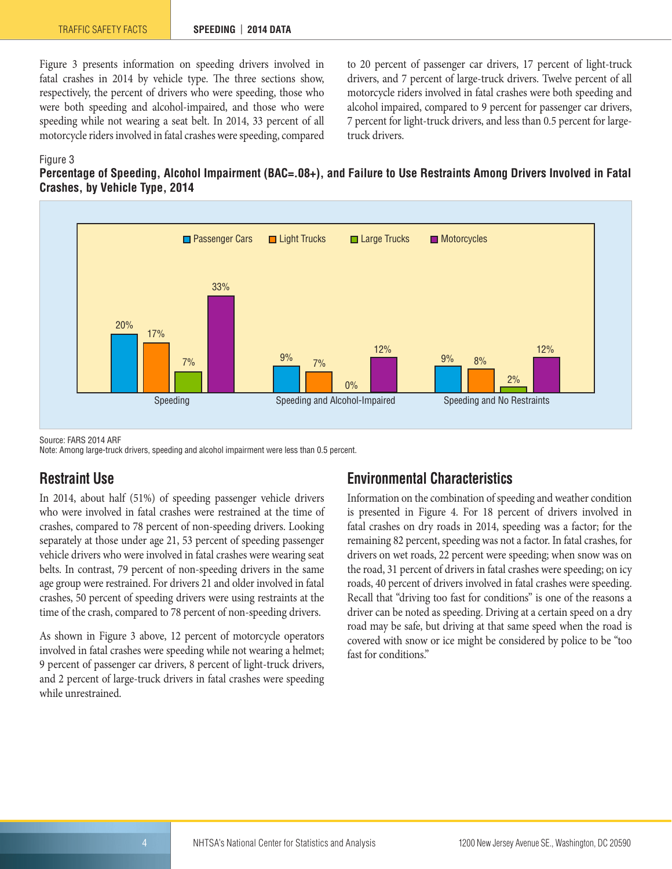Figure 3 presents information on speeding drivers involved in fatal crashes in 2014 by vehicle type. The three sections show, respectively, the percent of drivers who were speeding, those who were both speeding and alcohol-impaired, and those who were speeding while not wearing a seat belt. In 2014, 33 percent of all motorcycle riders involved in fatal crashes were speeding, compared to 20 percent of passenger car drivers, 17 percent of light-truck drivers, and 7 percent of large-truck drivers. Twelve percent of all motorcycle riders involved in fatal crashes were both speeding and alcohol impaired, compared to 9 percent for passenger car drivers, 7 percent for light-truck drivers, and less than 0.5 percent for largetruck drivers.

#### Figure 3

#### **Percentage of Speeding, Alcohol Impairment (BAC=.08+), and Failure to Use Restraints Among Drivers Involved in Fatal Crashes, by Vehicle Type, 2014**



Source: FARS 2014 ARF Note: Among large-truck drivers, speeding and alcohol impairment were less than 0.5 percent.

### **Restraint Use**

In 2014, about half (51%) of speeding passenger vehicle drivers who were involved in fatal crashes were restrained at the time of crashes, compared to 78 percent of non-speeding drivers. Looking separately at those under age 21, 53 percent of speeding passenger vehicle drivers who were involved in fatal crashes were wearing seat belts. In contrast, 79 percent of non-speeding drivers in the same age group were restrained. For drivers 21 and older involved in fatal crashes, 50 percent of speeding drivers were using restraints at the time of the crash, compared to 78 percent of non-speeding drivers.

As shown in Figure 3 above, 12 percent of motorcycle operators involved in fatal crashes were speeding while not wearing a helmet; 9 percent of passenger car drivers, 8 percent of light-truck drivers, and 2 percent of large-truck drivers in fatal crashes were speeding while unrestrained.

## **Environmental Characteristics**

Information on the combination of speeding and weather condition is presented in Figure 4. For 18 percent of drivers involved in fatal crashes on dry roads in 2014, speeding was a factor; for the remaining 82 percent, speeding was not a factor. In fatal crashes, for drivers on wet roads, 22 percent were speeding; when snow was on the road, 31 percent of drivers in fatal crashes were speeding; on icy roads, 40 percent of drivers involved in fatal crashes were speeding. Recall that "driving too fast for conditions" is one of the reasons a driver can be noted as speeding. Driving at a certain speed on a dry road may be safe, but driving at that same speed when the road is covered with snow or ice might be considered by police to be "too fast for conditions."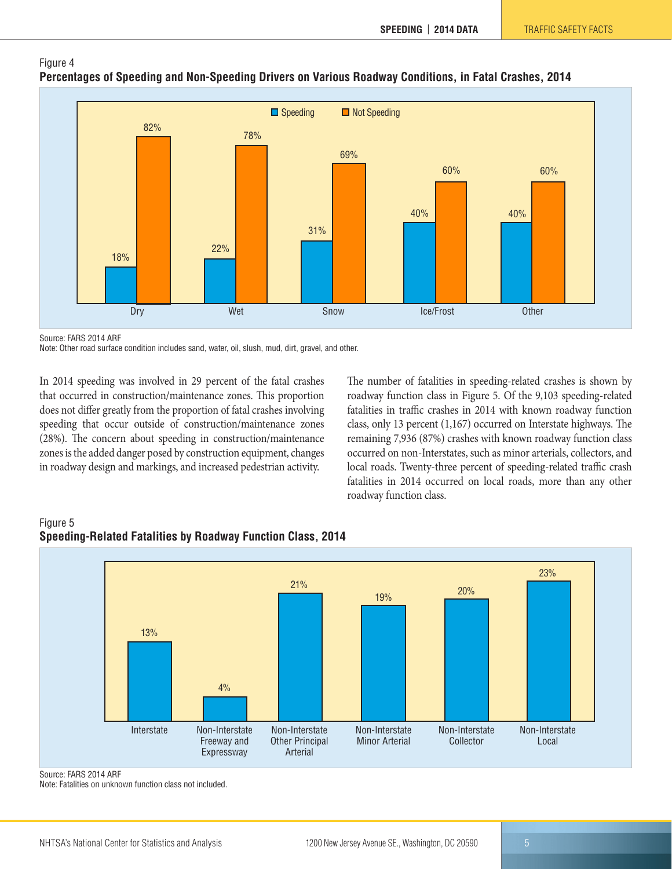



Source: FARS 2014 ARF

Note: Other road surface condition includes sand, water, oil, slush, mud, dirt, gravel, and other.

In 2014 speeding was involved in 29 percent of the fatal crashes that occurred in construction/maintenance zones. This proportion does not differ greatly from the proportion of fatal crashes involving speeding that occur outside of construction/maintenance zones (28%). The concern about speeding in construction/maintenance zones is the added danger posed by construction equipment, changes in roadway design and markings, and increased pedestrian activity.

The number of fatalities in speeding-related crashes is shown by roadway function class in Figure 5. Of the 9,103 speeding-related fatalities in traffic crashes in 2014 with known roadway function class, only 13 percent (1,167) occurred on Interstate highways. The remaining 7,936 (87%) crashes with known roadway function class occurred on non-Interstates, such as minor arterials, collectors, and local roads. Twenty-three percent of speeding-related traffic crash fatalities in 2014 occurred on local roads, more than any other roadway function class.



#### Figure 5 **Speeding-Related Fatalities by Roadway Function Class, 2014**

Note: Fatalities on unknown function class not included.

Source: FARS 2014 ARF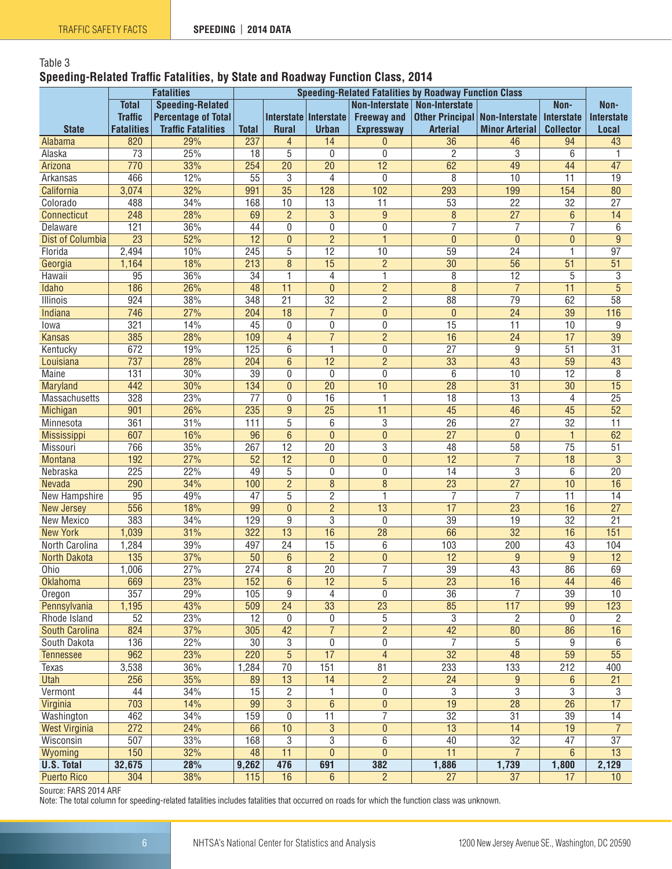## Table 3 **Speeding-Related Traffic Fatalities, by State and Roadway Function Class, 2014**

|                         |                                         | <b>Fatalities</b>          | <b>Speeding-Related Fatalities by Roadway Function Class</b> |                 |                       |                       |                                         |                       |                   |                   |  |  |
|-------------------------|-----------------------------------------|----------------------------|--------------------------------------------------------------|-----------------|-----------------------|-----------------------|-----------------------------------------|-----------------------|-------------------|-------------------|--|--|
|                         | <b>Total</b><br><b>Speeding-Related</b> |                            |                                                              |                 |                       | <b>Non-Interstate</b> | <b>Non-Interstate</b>                   |                       | Non-              | Non-              |  |  |
|                         | <b>Traffic</b>                          | <b>Percentage of Total</b> |                                                              |                 | Interstate Interstate | <b>Freeway and</b>    | <b>Other Principal   Non-Interstate</b> |                       | <b>Interstate</b> | <b>Interstate</b> |  |  |
| <b>State</b>            | <b>Fatalities</b>                       | <b>Traffic Fatalities</b>  | <b>Total</b>                                                 | <b>Rural</b>    | <b>Urban</b>          | <b>Expressway</b>     | <b>Arterial</b>                         | <b>Minor Arterial</b> | <b>Collector</b>  | Local             |  |  |
| Alabama                 | 820                                     | 29%                        | 237                                                          | $\overline{4}$  | 14                    | 0                     | 36                                      | 46                    | 94                | 43                |  |  |
| Alaska                  | $\overline{73}$                         | 25%                        | 18                                                           | 5               | 0                     | 0                     | $\overline{2}$                          | $\overline{3}$        | 6                 | 1                 |  |  |
| Arizona                 | 770                                     | 33%                        | 254                                                          | 20              | $\overline{20}$       | $\overline{12}$       | 62                                      | 49                    | 44                | 47                |  |  |
| Arkansas                | 466                                     | 12%                        | $\overline{55}$                                              | 3               | 4                     | $\mathbf 0$           | 8                                       | 10                    | 11                | 19                |  |  |
| California              | 3,074                                   | 32%                        | 991                                                          | $\overline{35}$ | 128                   | 102                   | 293                                     | 199                   | 154               | 80                |  |  |
| Colorado                | 488                                     | 34%                        | 168                                                          | 10              | 13                    | 11                    | 53                                      | 22                    | 32                | 27                |  |  |
| Connecticut             | 248                                     | 28%                        | 69                                                           | $\overline{2}$  | $\overline{3}$        | 9                     | $\overline{8}$                          | $\overline{27}$       | $6\,$             | $\overline{14}$   |  |  |
| Delaware                | 121                                     | 36%                        | 44                                                           | 0               | 0                     | 0                     | 7                                       | 7                     | 7                 | 6                 |  |  |
| <b>Dist of Columbia</b> | $\overline{23}$                         | 52%                        | 12                                                           | $\overline{0}$  | $\overline{2}$        | $\mathbf{1}$          | $\mathbf{0}$                            | $\mathbf{0}$          | $\mathbf{0}$      | 9                 |  |  |
| Florida                 | 2,494                                   | 10%                        | 245                                                          | 5               | $\overline{12}$       | 10                    | 59                                      | 24                    | 1                 | $\overline{97}$   |  |  |
| Georgia                 | 1,164                                   | 18%                        | 213                                                          | 8               | 15                    | $\overline{2}$        | $\overline{30}$                         | $\overline{56}$       | 51                | $\overline{51}$   |  |  |
| Hawaii                  | 95                                      | 36%                        | 34                                                           | 1               | 4                     | 1                     | 8                                       | 12                    | 5                 | 3                 |  |  |
| Idaho                   | 186                                     | 26%                        | 48                                                           | $\overline{11}$ | $\overline{0}$        | $\overline{2}$        | $\overline{8}$                          | $\overline{7}$        | $\overline{11}$   | $\overline{5}$    |  |  |
| Illinois                | 924                                     | 38%                        | 348                                                          | $\overline{21}$ | $\overline{32}$       | $\overline{2}$        | $\overline{88}$                         | 79                    | 62                | $\overline{58}$   |  |  |
| Indiana                 | 746                                     | 27%                        | 204                                                          | 18              | $\overline{7}$        | $\overline{0}$        | $\mathbf{0}$                            | $\overline{24}$       | $\overline{39}$   | 116               |  |  |
| Iowa                    | 321                                     | 14%                        | 45                                                           | 0               | 0                     | 0                     | 15                                      | 11                    | 10                | 9                 |  |  |
| <b>Kansas</b>           | 385                                     | 28%                        | 109                                                          | $\overline{4}$  | $\overline{7}$        | $\overline{2}$        | 16                                      | $\overline{24}$       | 17                | $\overline{39}$   |  |  |
| Kentucky                | 672                                     | 19%                        | 125                                                          | 6               | 1                     | 0                     | $\overline{27}$                         | $\overline{9}$        | $\overline{51}$   | $\overline{31}$   |  |  |
| Louisiana               | 737                                     | 28%                        | 204                                                          | 6               | 12                    | $\overline{2}$        | 33                                      | 43                    | 59                | 43                |  |  |
| Maine                   | 131                                     | 30%                        | $\overline{39}$                                              | $\mathbf{0}$    | 0                     | 0                     | 6                                       | 10                    | $\overline{12}$   | 8                 |  |  |
| Maryland                | 442                                     | 30%                        | 134                                                          | $\overline{0}$  | $\overline{20}$       | 10                    | $\overline{28}$                         | $\overline{31}$       | $\overline{30}$   | $\overline{15}$   |  |  |
| Massachusetts           | 328                                     | 23%                        | $\overline{77}$                                              | $\mathbf{0}$    | 16                    | 1                     | $\overline{18}$                         | 13                    | 4                 | $\overline{25}$   |  |  |
| <b>Michigan</b>         | 901                                     | 26%                        | 235                                                          | 9               | $\overline{25}$       | 11                    | 45                                      | 46                    | 45                | $\overline{52}$   |  |  |
| Minnesota               | 361                                     | 31%                        | 111                                                          | 5               | 6                     | 3                     | 26                                      | $\overline{27}$       | $\overline{32}$   | 11                |  |  |
| Mississippi             | 607                                     | 16%                        | 96                                                           | 6               | $\mathbf{0}$          | $\mathbf{0}$          | $\overline{27}$                         | $\overline{0}$        | 1                 | 62                |  |  |
| Missouri                | 766                                     | 35%                        | 267                                                          | 12              | 20                    | 3                     | 48                                      | 58                    | 75                | 51                |  |  |
| <b>Montana</b>          | 192                                     | 27%                        | 52                                                           | 12              | $\mathbf{0}$          | $\overline{0}$        | $\overline{12}$                         | $\overline{7}$        | $\overline{18}$   | $\mathbf{3}$      |  |  |
| Nebraska                | $\overline{225}$                        | 22%                        | 49                                                           | 5               | 0                     | 0                     | $\overline{14}$                         | $\overline{3}$        | 6                 | $\overline{20}$   |  |  |
| Nevada                  | 290                                     | 34%                        | 100                                                          | $\overline{2}$  | 8                     | 8                     | $\overline{23}$                         | $\overline{27}$       | 10                | $\overline{16}$   |  |  |
| New Hampshire           | 95                                      | 49%                        | 47                                                           | 5               | $\overline{2}$        | 1                     | $\overline{7}$                          | $\overline{7}$        | 11                | 14                |  |  |
| <b>New Jersey</b>       | 556                                     | 18%                        | 99                                                           | $\overline{0}$  | $\overline{2}$        | 13                    | $\overline{17}$                         | $\overline{23}$       | 16                | $\overline{27}$   |  |  |
| New Mexico              | 383                                     | 34%                        | 129                                                          | 9               | 3                     | $\mathbf{0}$          | 39                                      | 19                    | $\overline{32}$   | $\overline{21}$   |  |  |
| <b>New York</b>         | 1,039                                   | 31%                        | 322                                                          | 13              | 16                    | 28                    | 66                                      | $\overline{32}$       | 16                | 151               |  |  |
| North Carolina          | 1,284                                   | 39%                        | 497                                                          | $\overline{24}$ | 15                    | 6                     | 103                                     | 200                   | 43                | 104               |  |  |
| <b>North Dakota</b>     | 135                                     | 37%                        | 50                                                           | $6\phantom{1}$  | $\overline{2}$        | $\overline{0}$        | $\overline{12}$                         | 9                     | $\overline{9}$    | $\overline{12}$   |  |  |
| Ohio                    | 1,006                                   | 27%                        | 274                                                          | 8               | $\overline{20}$       | 7                     | 39                                      | 43                    | 86                | 69                |  |  |
| <b>Oklahoma</b>         | 669                                     | 23%                        | 152                                                          | 6               | 12                    | 5                     | 23                                      | 16                    | 44                | 46                |  |  |
| Oregon                  | $\overline{357}$                        | 29%                        | 105                                                          | 9               | 4                     | 0                     | $\overline{36}$                         | 7                     | $\overline{39}$   | $\overline{10}$   |  |  |
| Pennsylvania            | 1,195                                   | 43%                        | 509                                                          | 24              | 33                    | $\overline{23}$       | 85                                      | 117                   | 99                | 123               |  |  |
| Rhode Island            | 52                                      | 23%                        | 12                                                           | $\mathbf 0$     | 0                     | 5                     | $\overline{3}$                          | $\overline{c}$        | 0                 | 2                 |  |  |
| South Carolina          | 824                                     | 37%                        | 305                                                          | 42              | $\overline{7}$        | $\overline{2}$        | 42                                      | $\overline{80}$       | 86                | 16                |  |  |
| South Dakota            | 136                                     | 22%                        | 30                                                           | 3               | 0                     | 0                     | $\overline{7}$                          | 5                     | 9                 | 6                 |  |  |
| <b>Tennessee</b>        | 962                                     | 23%                        | 220                                                          | $\overline{5}$  | 17                    | $\overline{4}$        | $\overline{32}$                         | 48                    | $\overline{59}$   | $\overline{55}$   |  |  |
| Texas                   | 3,538                                   | 36%                        | 1,284                                                        | 70              | 151                   | 81                    | 233                                     | 133                   | 212               | 400               |  |  |
| <b>Utah</b>             | 256                                     | 35%                        | 89                                                           | 13              | 14                    | $\overline{2}$        | 24                                      | $9\,$                 | 6                 | 21                |  |  |
| Vermont                 | 44                                      | 34%                        | 15                                                           | $\overline{c}$  | 1                     | 0                     | $\overline{3}$                          | $\overline{3}$        | 3                 | 3                 |  |  |
| Virginia                | 703                                     | 14%                        | 99                                                           | $\overline{3}$  | 6                     | $\bf{0}$              | 19                                      | 28                    | 26                | 17                |  |  |
| Washington              | 462                                     | 34%                        | 159                                                          | 0               | $\overline{11}$       | $\overline{7}$        | $\overline{32}$                         | $\overline{31}$       | 39                | $\overline{14}$   |  |  |
| <b>West Virginia</b>    | $\overline{272}$                        | 24%                        | 66                                                           | 10              | $\overline{3}$        | $\pmb{0}$             | $\overline{13}$                         | $\overline{14}$       | $\overline{19}$   | $\overline{7}$    |  |  |
| Wisconsin               | 507                                     | 33%                        | 168                                                          | 3               | $\overline{3}$        | 6                     | 40                                      | $\overline{32}$       | 47                | $\overline{37}$   |  |  |
| Wyoming                 | 150                                     | 32%                        | 48                                                           | 11              | $\mathbf{0}$          | 0                     | 11                                      | $\overline{7}$        | 6                 | 13                |  |  |
| <b>U.S. Total</b>       | 32,675                                  | 28%                        | 9,262                                                        | 476             | 691                   | 382                   | 1,886                                   | 1,739                 | 1,800             | 2,129             |  |  |
| <b>Puerto Rico</b>      | 304                                     | 38%                        | 115                                                          | 16              | 6                     | $\overline{2}$        | 27                                      | 37                    | 17                | 10 <sup>1</sup>   |  |  |

Source: FARS 2014 ARF

Note: The total column for speeding-related fatalities includes fatalities that occurred on roads for which the function class was unknown.